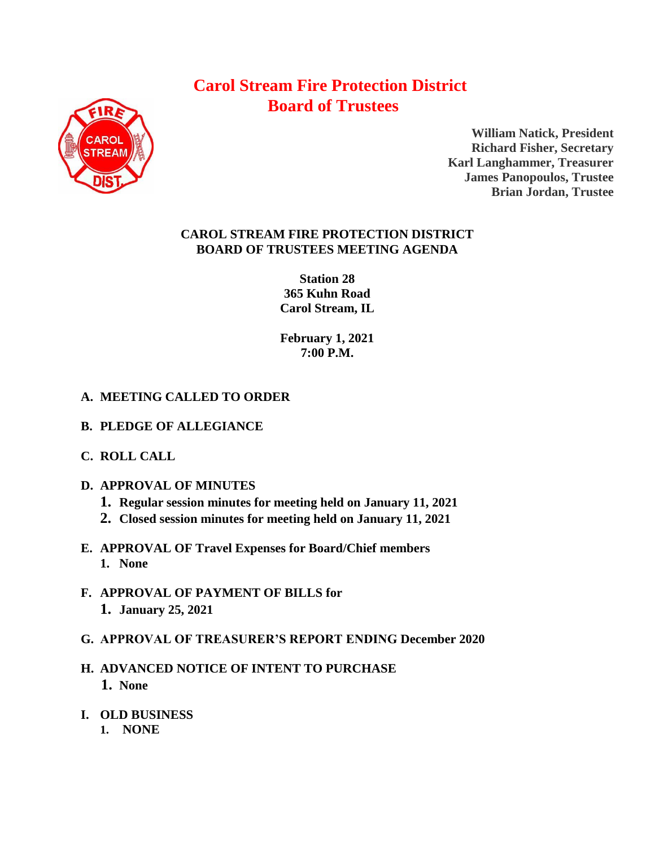# **Carol Stream Fire Protection District Board of Trustees**



**William Natick, President Richard Fisher, Secretary Karl Langhammer, Treasurer James Panopoulos, Trustee Brian Jordan, Trustee**

### **CAROL STREAM FIRE PROTECTION DISTRICT BOARD OF TRUSTEES MEETING AGENDA**

**Station 28 365 Kuhn Road Carol Stream, IL** 

**February 1, 2021 7:00 P.M.**

## **A. MEETING CALLED TO ORDER**

- **B. PLEDGE OF ALLEGIANCE**
- **C. ROLL CALL**
- **D. APPROVAL OF MINUTES**
	- **1. Regular session minutes for meeting held on January 11, 2021**
	- **2. Closed session minutes for meeting held on January 11, 2021**
- **E. APPROVAL OF Travel Expenses for Board/Chief members 1. None**
- **F. APPROVAL OF PAYMENT OF BILLS for 1. January 25, 2021**
- **G. APPROVAL OF TREASURER'S REPORT ENDING December 2020**
- **H. ADVANCED NOTICE OF INTENT TO PURCHASE 1. None**
- **I. OLD BUSINESS**
	- **1. NONE**